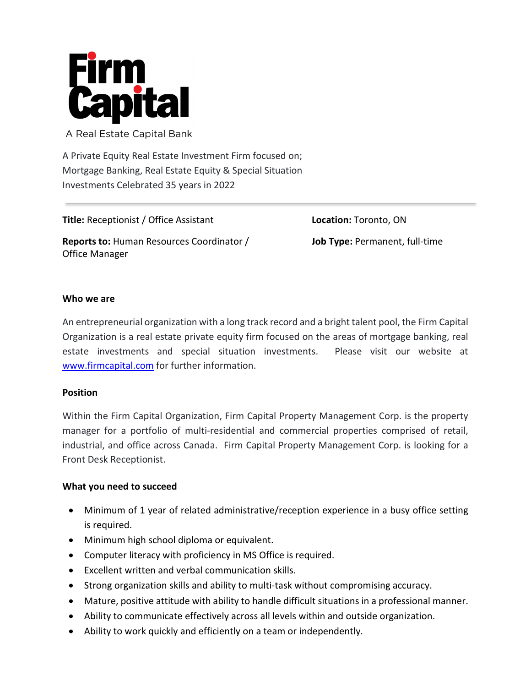

A Real Estate Capital Bank

A Private Equity Real Estate Investment Firm focused on; Mortgage Banking, Real Estate Equity & Special Situation Investments Celebrated 35 years in 2022

**Title:** Receptionist / Office Assistant **Reports to:** Human Resources Coordinator / Office Manager

**Location:** Toronto, ON **Job Type:** Permanent, full-time

### **Who we are**

An entrepreneurial organization with a long track record and a bright talent pool, the Firm Capital Organization is a real estate private equity firm focused on the areas of mortgage banking, real estate investments and special situation investments. Please visit our website at [www.firmcapital.com](http://www.firmcapital.com/) for further information.

#### **Position**

Within the Firm Capital Organization, Firm Capital Property Management Corp. is the property manager for a portfolio of multi-residential and commercial properties comprised of retail, industrial, and office across Canada. Firm Capital Property Management Corp. is looking for a Front Desk Receptionist.

#### **What you need to succeed**

- Minimum of 1 year of related administrative/reception experience in a busy office setting is required.
- Minimum high school diploma or equivalent.
- Computer literacy with proficiency in MS Office is required.
- Excellent written and verbal communication skills.
- Strong organization skills and ability to multi-task without compromising accuracy.
- Mature, positive attitude with ability to handle difficult situations in a professional manner.
- Ability to communicate effectively across all levels within and outside organization.
- Ability to work quickly and efficiently on a team or independently.